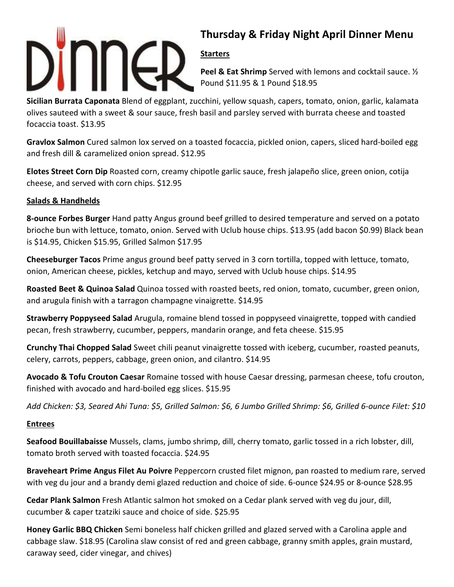

# **Thursday & Friday Night April Dinner Menu**

## **Starters**

**Peel & Eat Shrimp** Served with lemons and cocktail sauce. ½ Pound \$11.95 & 1 Pound \$18.95

**Sicilian Burrata Caponata** Blend of eggplant, zucchini, yellow squash, capers, tomato, onion, garlic, kalamata olives sauteed with a sweet & sour sauce, fresh basil and parsley served with burrata cheese and toasted focaccia toast. \$13.95

**Gravlox Salmon** Cured salmon lox served on a toasted focaccia, pickled onion, capers, sliced hard-boiled egg and fresh dill & caramelized onion spread. \$12.95

**Elotes Street Corn Dip** Roasted corn, creamy chipotle garlic sauce, fresh jalapeño slice, green onion, cotija cheese, and served with corn chips. \$12.95

### **Salads & Handhelds**

**8-ounce Forbes Burger** Hand patty Angus ground beef grilled to desired temperature and served on a potato brioche bun with lettuce, tomato, onion. Served with Uclub house chips. \$13.95 (add bacon \$0.99) Black bean is \$14.95, Chicken \$15.95, Grilled Salmon \$17.95

**Cheeseburger Tacos** Prime angus ground beef patty served in 3 corn tortilla, topped with lettuce, tomato, onion, American cheese, pickles, ketchup and mayo, served with Uclub house chips. \$14.95

**Roasted Beet & Quinoa Salad** Quinoa tossed with roasted beets, red onion, tomato, cucumber, green onion, and arugula finish with a tarragon champagne vinaigrette. \$14.95

**Strawberry Poppyseed Salad** Arugula, romaine blend tossed in poppyseed vinaigrette, topped with candied pecan, fresh strawberry, cucumber, peppers, mandarin orange, and feta cheese. \$15.95

**Crunchy Thai Chopped Salad** Sweet chili peanut vinaigrette tossed with iceberg, cucumber, roasted peanuts, celery, carrots, peppers, cabbage, green onion, and cilantro. \$14.95

**Avocado & Tofu Crouton Caesar** Romaine tossed with house Caesar dressing, parmesan cheese, tofu crouton, finished with avocado and hard-boiled egg slices. \$15.95

*Add Chicken: \$3, Seared Ahi Tuna: \$5, Grilled Salmon: \$6, 6 Jumbo Grilled Shrimp: \$6, Grilled 6-ounce Filet: \$10* 

### **Entrees**

**Seafood Bouillabaisse** Mussels, clams, jumbo shrimp, dill, cherry tomato, garlic tossed in a rich lobster, dill, tomato broth served with toasted focaccia. \$24.95

**Braveheart Prime Angus Filet Au Poivre** Peppercorn crusted filet mignon, pan roasted to medium rare, served with veg du jour and a brandy demi glazed reduction and choice of side. 6-ounce \$24.95 or 8-ounce \$28.95

**Cedar Plank Salmon** Fresh Atlantic salmon hot smoked on a Cedar plank served with veg du jour, dill, cucumber & caper tzatziki sauce and choice of side. \$25.95

**Honey Garlic BBQ Chicken** Semi boneless half chicken grilled and glazed served with a Carolina apple and cabbage slaw. \$18.95 (Carolina slaw consist of red and green cabbage, granny smith apples, grain mustard, caraway seed, cider vinegar, and chives)